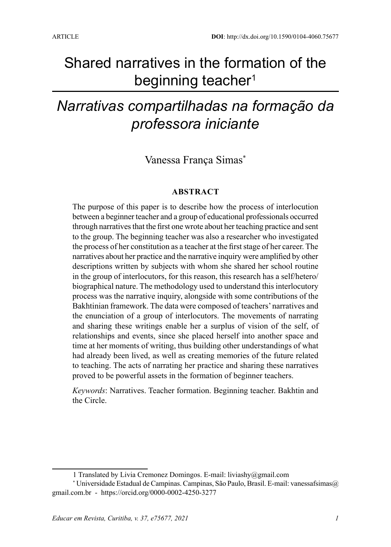# Shared narratives in the formation of the beginning teacher<sup>1</sup>

# *Narrativas compartilhadas na formação da professora iniciante*

## Vanessa França Simas\*

#### **ABSTRACT**

The purpose of this paper is to describe how the process of interlocution between a beginner teacher and a group of educational professionals occurred through narratives that the first one wrote about her teaching practice and sent to the group. The beginning teacher was also a researcher who investigated the process of her constitution as a teacher at the first stage of her career. The narratives about her practice and the narrative inquiry were amplified by other descriptions written by subjects with whom she shared her school routine in the group of interlocutors, for this reason, this research has a self/hetero/ biographical nature. The methodology used to understand this interlocutory process was the narrative inquiry, alongside with some contributions of the Bakhtinian framework. The data were composed of teachers' narratives and the enunciation of a group of interlocutors. The movements of narrating and sharing these writings enable her a surplus of vision of the self, of relationships and events, since she placed herself into another space and time at her moments of writing, thus building other understandings of what had already been lived, as well as creating memories of the future related to teaching. The acts of narrating her practice and sharing these narratives proved to be powerful assets in the formation of beginner teachers.

*Keywords*: Narratives. Teacher formation. Beginning teacher. Bakhtin and the Circle.

<sup>1</sup> Translated by Livia Cremonez Domingos. E-mail: liviashy@gmail.com

<sup>\*</sup> Universidade Estadual de Campinas. Campinas, São Paulo, Brasil. E-mail: vanessafsimas@ gmail.com.br - https://orcid.org/0000-0002-4250-3277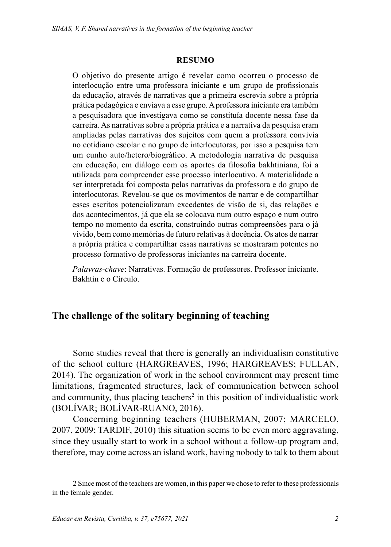#### **RESUMO**

O objetivo do presente artigo é revelar como ocorreu o processo de interlocução entre uma professora iniciante e um grupo de profissionais da educação, através de narrativas que a primeira escrevia sobre a própria prática pedagógica e enviava a esse grupo. A professora iniciante era também a pesquisadora que investigava como se constituía docente nessa fase da carreira. As narrativas sobre a própria prática e a narrativa da pesquisa eram ampliadas pelas narrativas dos sujeitos com quem a professora convivia no cotidiano escolar e no grupo de interlocutoras, por isso a pesquisa tem um cunho auto/hetero/biográfico. A metodologia narrativa de pesquisa em educação, em diálogo com os aportes da filosofia bakhtiniana, foi a utilizada para compreender esse processo interlocutivo. A materialidade a ser interpretada foi composta pelas narrativas da professora e do grupo de interlocutoras. Revelou-se que os movimentos de narrar e de compartilhar esses escritos potencializaram excedentes de visão de si, das relações e dos acontecimentos, já que ela se colocava num outro espaço e num outro tempo no momento da escrita, construindo outras compreensões para o já vivido, bem como memórias de futuro relativas à docência. Os atos de narrar a própria prática e compartilhar essas narrativas se mostraram potentes no processo formativo de professoras iniciantes na carreira docente.

*Palavras-chave*: Narrativas. Formação de professores. Professor iniciante. Bakhtin e o Círculo.

### **The challenge of the solitary beginning of teaching**

Some studies reveal that there is generally an individualism constitutive of the school culture (HARGREAVES, 1996; HARGREAVES; FULLAN, 2014). The organization of work in the school environment may present time limitations, fragmented structures, lack of communication between school and community, thus placing teachers<sup>2</sup> in this position of individualistic work (BOLÍVAR; BOLÍVAR-RUANO, 2016).

Concerning beginning teachers (HUBERMAN, 2007; MARCELO, 2007, 2009; TARDIF, 2010) this situation seems to be even more aggravating, since they usually start to work in a school without a follow-up program and, therefore, may come across an island work, having nobody to talk to them about

<sup>2</sup> Since most of the teachers are women, in this paper we chose to refer to these professionals in the female gender.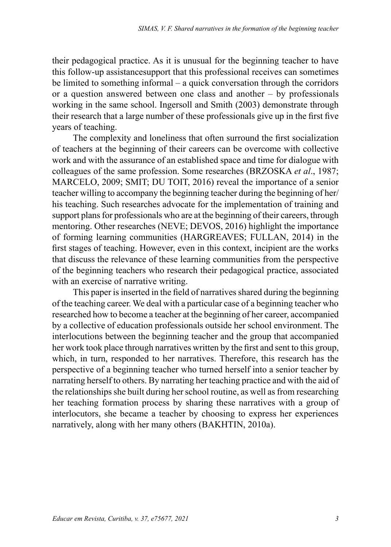their pedagogical practice. As it is unusual for the beginning teacher to have this follow-up assistancesupport that this professional receives can sometimes be limited to something informal – a quick conversation through the corridors or a question answered between one class and another – by professionals working in the same school. Ingersoll and Smith (2003) demonstrate through their research that a large number of these professionals give up in the first five years of teaching.

The complexity and loneliness that often surround the first socialization of teachers at the beginning of their careers can be overcome with collective work and with the assurance of an established space and time for dialogue with colleagues of the same profession. Some researches (BRZOSKA *et al*., 1987; MARCELO, 2009; SMIT; DU TOIT, 2016) reveal the importance of a senior teacher willing to accompany the beginning teacher during the beginning of her/ his teaching. Such researches advocate for the implementation of training and support plans for professionals who are at the beginning of their careers, through mentoring. Other researches (NEVE; DEVOS, 2016) highlight the importance of forming learning communities (HARGREAVES; FULLAN, 2014) in the first stages of teaching. However, even in this context, incipient are the works that discuss the relevance of these learning communities from the perspective of the beginning teachers who research their pedagogical practice, associated with an exercise of narrative writing.

This paper is inserted in the field of narratives shared during the beginning of the teaching career. We deal with a particular case of a beginning teacher who researched how to become a teacher at the beginning of her career, accompanied by a collective of education professionals outside her school environment. The interlocutions between the beginning teacher and the group that accompanied her work took place through narratives written by the first and sent to this group, which, in turn, responded to her narratives. Therefore, this research has the perspective of a beginning teacher who turned herself into a senior teacher by narrating herself to others. By narrating her teaching practice and with the aid of the relationships she built during her school routine, as well as from researching her teaching formation process by sharing these narratives with a group of interlocutors, she became a teacher by choosing to express her experiences narratively, along with her many others (BAKHTIN, 2010a).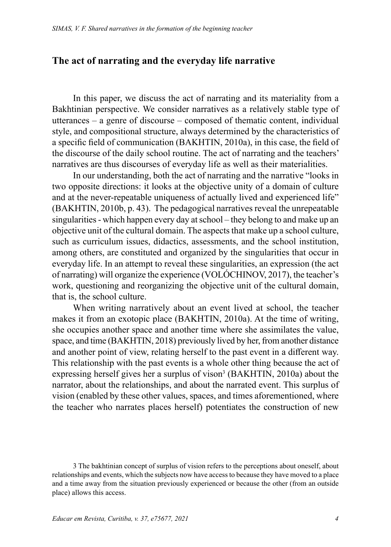#### **The act of narrating and the everyday life narrative**

In this paper, we discuss the act of narrating and its materiality from a Bakhtinian perspective. We consider narratives as a relatively stable type of utterances – a genre of discourse – composed of thematic content, individual style, and compositional structure, always determined by the characteristics of a specific field of communication (BAKHTIN, 2010a), in this case, the field of the discourse of the daily school routine. The act of narrating and the teachers' narratives are thus discourses of everyday life as well as their materialities.

In our understanding, both the act of narrating and the narrative "looks in two opposite directions: it looks at the objective unity of a domain of culture and at the never-repeatable uniqueness of actually lived and experienced life" (BAKHTIN, 2010b, p. 43). The pedagogical narratives reveal the unrepeatable singularities - which happen every day at school – they belong to and make up an objective unit of the cultural domain. The aspects that make up a school culture, such as curriculum issues, didactics, assessments, and the school institution, among others, are constituted and organized by the singularities that occur in everyday life. In an attempt to reveal these singularities, an expression (the act of narrating) will organize the experience (VOLÓCHINOV, 2017), the teacher's work, questioning and reorganizing the objective unit of the cultural domain, that is, the school culture.

When writing narratively about an event lived at school, the teacher makes it from an exotopic place (BAKHTIN, 2010a). At the time of writing, she occupies another space and another time where she assimilates the value, space, and time (BAKHTIN, 2018) previously lived by her, from another distance and another point of view, relating herself to the past event in a different way. This relationship with the past events is a whole other thing because the act of expressing herself gives her a surplus of vison<sup>3</sup> (BAKHTIN, 2010a) about the narrator, about the relationships, and about the narrated event. This surplus of vision (enabled by these other values, spaces, and times aforementioned, where the teacher who narrates places herself) potentiates the construction of new

3 The bakhtinian concept of surplus of vision refers to the perceptions about oneself, about relationships and events, which the subjects now have access to because they have moved to a place and a time away from the situation previously experienced or because the other (from an outside place) allows this access.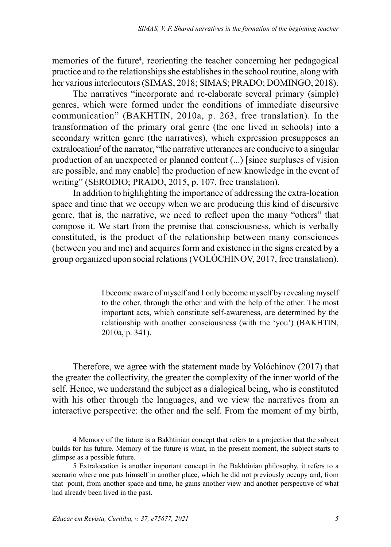memories of the future<sup>4</sup>, reorienting the teacher concerning her pedagogical practice and to the relationships she establishes in the school routine, along with her various interlocutors (SIMAS, 2018; SIMAS; PRADO; DOMINGO, 2018).

The narratives "incorporate and re-elaborate several primary (simple) genres, which were formed under the conditions of immediate discursive communication" (BAKHTIN, 2010a, p. 263, free translation). In the transformation of the primary oral genre (the one lived in schools) into a secondary written genre (the narratives), which expression presupposes an extralocation<sup>5</sup> of the narrator, "the narrative utterances are conducive to a singular production of an unexpected or planned content (...) [since surpluses of vision are possible, and may enable] the production of new knowledge in the event of writing" (SERODIO; PRADO, 2015, p. 107, free translation).

In addition to highlighting the importance of addressing the extra-location space and time that we occupy when we are producing this kind of discursive genre, that is, the narrative, we need to reflect upon the many "others" that compose it. We start from the premise that consciousness, which is verbally constituted, is the product of the relationship between many consciences (between you and me) and acquires form and existence in the signs created by a group organized upon social relations (VOLÓCHINOV, 2017, free translation).

> I become aware of myself and I only become myself by revealing myself to the other, through the other and with the help of the other. The most important acts, which constitute self-awareness, are determined by the relationship with another consciousness (with the 'you') (BAKHTIN, 2010a, p. 341).

Therefore, we agree with the statement made by Volóchinov (2017) that the greater the collectivity, the greater the complexity of the inner world of the self. Hence, we understand the subject as a dialogical being, who is constituted with his other through the languages, and we view the narratives from an interactive perspective: the other and the self. From the moment of my birth,

<sup>4</sup> Memory of the future is a Bakhtinian concept that refers to a projection that the subject builds for his future. Memory of the future is what, in the present moment, the subject starts to glimpse as a possible future.

<sup>5</sup> Extralocation is another important concept in the Bakhtinian philosophy, it refers to a scenario where one puts himself in another place, which he did not previously occupy and, from that point, from another space and time, he gains another view and another perspective of what had already been lived in the past.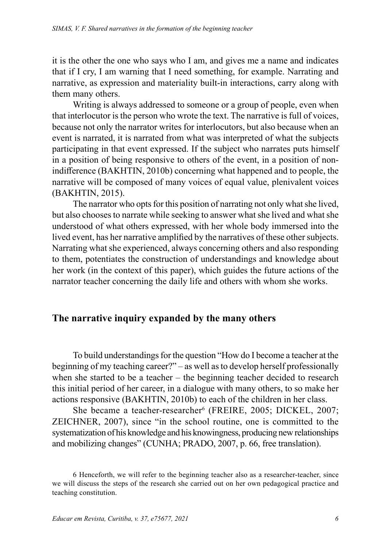it is the other the one who says who I am, and gives me a name and indicates that if I cry, I am warning that I need something, for example. Narrating and narrative, as expression and materiality built-in interactions, carry along with them many others.

Writing is always addressed to someone or a group of people, even when that interlocutor is the person who wrote the text. The narrative is full of voices, because not only the narrator writes for interlocutors, but also because when an event is narrated, it is narrated from what was interpreted of what the subjects participating in that event expressed. If the subject who narrates puts himself in a position of being responsive to others of the event, in a position of nonindifference (BAKHTIN, 2010b) concerning what happened and to people, the narrative will be composed of many voices of equal value, plenivalent voices (BAKHTIN, 2015).

The narrator who opts for this position of narrating not only what she lived, but also chooses to narrate while seeking to answer what she lived and what she understood of what others expressed, with her whole body immersed into the lived event, has her narrative amplified by the narratives of these other subjects. Narrating what she experienced, always concerning others and also responding to them, potentiates the construction of understandings and knowledge about her work (in the context of this paper), which guides the future actions of the narrator teacher concerning the daily life and others with whom she works.

### **The narrative inquiry expanded by the many others**

To build understandings for the question "How do I become a teacher at the beginning of my teaching career?" – as well as to develop herself professionally when she started to be a teacher – the beginning teacher decided to research this initial period of her career, in a dialogue with many others, to so make her actions responsive (BAKHTIN, 2010b) to each of the children in her class.

She became a teacher-researcher<sup>6</sup> (FREIRE, 2005; DICKEL, 2007; ZEICHNER, 2007), since "in the school routine, one is committed to the systematization of his knowledge and his knowingness, producing new relationships and mobilizing changes" (CUNHA; PRADO, 2007, p. 66, free translation).

<sup>6</sup> Henceforth, we will refer to the beginning teacher also as a researcher-teacher, since we will discuss the steps of the research she carried out on her own pedagogical practice and teaching constitution.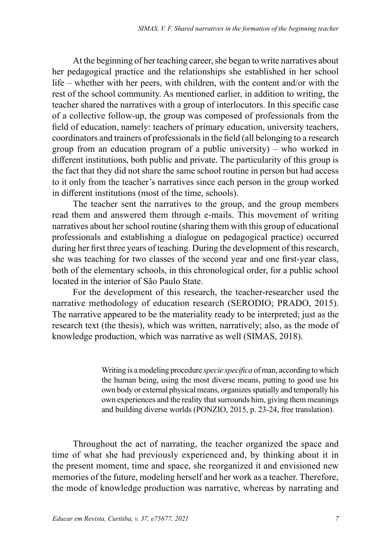At the beginning of her teaching career, she began to write narratives about her pedagogical practice and the relationships she established in her school life – whether with her peers, with children, with the content and/or with the rest of the school community. As mentioned earlier, in addition to writing, the teacher shared the narratives with a group of interlocutors. In this specific case of a collective follow-up, the group was composed of professionals from the field of education, namely: teachers of primary education, university teachers, coordinators and trainers of professionals in the field (all belonging to a research group from an education program of a public university) – who worked in different institutions, both public and private. The particularity of this group is the fact that they did not share the same school routine in person but had access to it only from the teacher's narratives since each person in the group worked in different institutions (most of the time, schools).

The teacher sent the narratives to the group, and the group members read them and answered them through e-mails. This movement of writing narratives about her school routine (sharing them with this group of educational professionals and establishing a dialogue on pedagogical practice) occurred during her first three years of teaching. During the development of this research, she was teaching for two classes of the second year and one first-year class, both of the elementary schools, in this chronological order, for a public school located in the interior of São Paulo State.

For the development of this research, the teacher-researcher used the narrative methodology of education research (SERODIO; PRADO, 2015). The narrative appeared to be the materiality ready to be interpreted; just as the research text (the thesis), which was written, narratively; also, as the mode of knowledge production, which was narrative as well (SIMAS, 2018).

> Writing is a modeling procedure *specie specifica* of man, according to which the human being, using the most diverse means, putting to good use his own body or external physical means, organizes spatially and temporally his own experiences and the reality that surrounds him, giving them meanings and building diverse worlds (PONZIO, 2015, p. 23-24, free translation).

Throughout the act of narrating, the teacher organized the space and time of what she had previously experienced and, by thinking about it in the present moment, time and space, she reorganized it and envisioned new memories of the future, modeling herself and her work as a teacher. Therefore, the mode of knowledge production was narrative, whereas by narrating and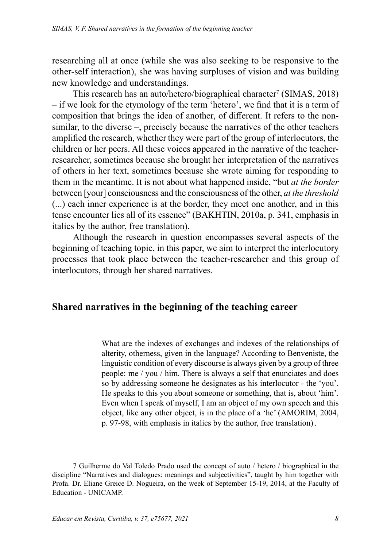researching all at once (while she was also seeking to be responsive to the other-self interaction), she was having surpluses of vision and was building new knowledge and understandings.

This research has an auto/hetero/biographical character<sup>7</sup> (SIMAS, 2018) – if we look for the etymology of the term 'hetero', we find that it is a term of composition that brings the idea of another, of different. It refers to the nonsimilar, to the diverse –, precisely because the narratives of the other teachers amplified the research, whether they were part of the group of interlocutors, the children or her peers. All these voices appeared in the narrative of the teacherresearcher, sometimes because she brought her interpretation of the narratives of others in her text, sometimes because she wrote aiming for responding to them in the meantime. It is not about what happened inside, "but *at the border* between [your] consciousness and the consciousness of the other, *at the threshold* (...) each inner experience is at the border, they meet one another, and in this tense encounter lies all of its essence" (BAKHTIN, 2010a, p. 341, emphasis in italics by the author, free translation).

Although the research in question encompasses several aspects of the beginning of teaching topic, in this paper, we aim to interpret the interlocutory processes that took place between the teacher-researcher and this group of interlocutors, through her shared narratives.

### **Shared narratives in the beginning of the teaching career**

What are the indexes of exchanges and indexes of the relationships of alterity, otherness, given in the language? According to Benveniste, the linguistic condition of every discourse is always given by a group of three people: me / you / him. There is always a self that enunciates and does so by addressing someone he designates as his interlocutor - the 'you'. He speaks to this you about someone or something, that is, about 'him'. Even when I speak of myself, I am an object of my own speech and this object, like any other object, is in the place of a 'he' (AMORIM, 2004, p. 97-98, with emphasis in italics by the author, free translation).

<sup>7</sup> Guilherme do Val Toledo Prado used the concept of auto / hetero / biographical in the discipline "Narratives and dialogues: meanings and subjectivities", taught by him together with Profa. Dr. Eliane Greice D. Nogueira, on the week of September 15-19, 2014, at the Faculty of Education - UNICAMP.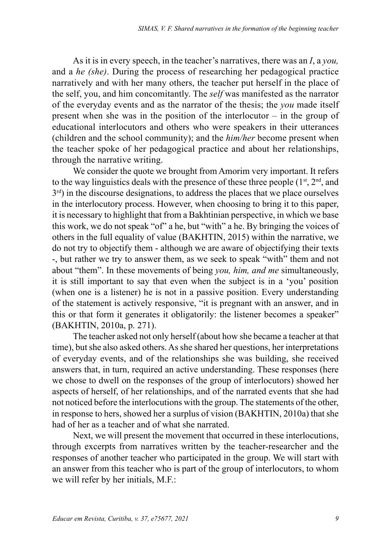As it is in every speech, in the teacher's narratives, there was an *I*, a *you,* and a *he (she)*. During the process of researching her pedagogical practice narratively and with her many others, the teacher put herself in the place of the self, you, and him concomitantly. The *self* was manifested as the narrator of the everyday events and as the narrator of the thesis; the *you* made itself present when she was in the position of the interlocutor – in the group of educational interlocutors and others who were speakers in their utterances (children and the school community); and the *him/her* become present when the teacher spoke of her pedagogical practice and about her relationships, through the narrative writing.

We consider the quote we brought from Amorim very important. It refers to the way linguistics deals with the presence of these three people  $(1^{st}, 2^{nd},$  and  $3<sup>rd</sup>$ ) in the discourse designations, to address the places that we place ourselves in the interlocutory process. However, when choosing to bring it to this paper, it is necessary to highlight that from a Bakhtinian perspective, in which we base this work, we do not speak "of" a he, but "with" a he. By bringing the voices of others in the full equality of value (BAKHTIN, 2015) within the narrative, we do not try to objectify them - although we are aware of objectifying their texts -, but rather we try to answer them, as we seek to speak "with" them and not about "them". In these movements of being *you, him, and me* simultaneously, it is still important to say that even when the subject is in a 'you' position (when one is a listener) he is not in a passive position. Every understanding of the statement is actively responsive, "it is pregnant with an answer, and in this or that form it generates it obligatorily: the listener becomes a speaker" (BAKHTIN, 2010a, p. 271).

The teacher asked not only herself (about how she became a teacher at that time), but she also asked others. As she shared her questions, her interpretations of everyday events, and of the relationships she was building, she received answers that, in turn, required an active understanding. These responses (here we chose to dwell on the responses of the group of interlocutors) showed her aspects of herself, of her relationships, and of the narrated events that she had not noticed before the interlocutions with the group. The statements of the other, in response to hers, showed her a surplus of vision (BAKHTIN, 2010a) that she had of her as a teacher and of what she narrated.

Next, we will present the movement that occurred in these interlocutions, through excerpts from narratives written by the teacher-researcher and the responses of another teacher who participated in the group. We will start with an answer from this teacher who is part of the group of interlocutors, to whom we will refer by her initials, M.F.: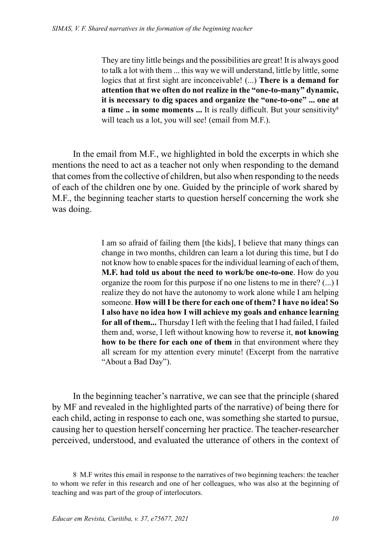They are tiny little beings and the possibilities are great! It is always good to talk a lot with them ... this way we will understand, little by little, some logics that at first sight are inconceivable! (...) **There is a demand for attention that we often do not realize in the "one-to-many" dynamic, it is necessary to dig spaces and organize the "one-to-one" ... one at a time .. in some moments ...** It is really difficult. But your sensitivity<sup>8</sup> will teach us a lot, you will see! (email from M.F.).

In the email from M.F., we highlighted in bold the excerpts in which she mentions the need to act as a teacher not only when responding to the demand that comes from the collective of children, but also when responding to the needs of each of the children one by one. Guided by the principle of work shared by M.F., the beginning teacher starts to question herself concerning the work she was doing.

> I am so afraid of failing them [the kids], I believe that many things can change in two months, children can learn a lot during this time, but I do not know how to enable spaces for the individual learning of each of them, **M.F. had told us about the need to work/be one-to-one**. How do you organize the room for this purpose if no one listens to me in there? (...) I realize they do not have the autonomy to work alone while I am helping someone. **How will I be there for each one of them? I have no idea! So I also have no idea how I will achieve my goals and enhance learning for all of them...** Thursday I left with the feeling that I had failed, I failed them and, worse, I left without knowing how to reverse it, **not knowing how to be there for each one of them** in that environment where they all scream for my attention every minute! (Excerpt from the narrative "About a Bad Day").

In the beginning teacher's narrative, we can see that the principle (shared by MF and revealed in the highlighted parts of the narrative) of being there for each child, acting in response to each one, was something she started to pursue, causing her to question herself concerning her practice. The teacher-researcher perceived, understood, and evaluated the utterance of others in the context of

<sup>8</sup> M.F writes this email in response to the narratives of two beginning teachers: the teacher to whom we refer in this research and one of her colleagues, who was also at the beginning of teaching and was part of the group of interlocutors.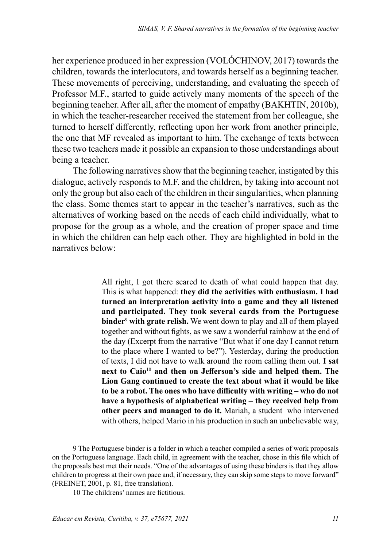her experience produced in her expression (VOLÓCHINOV, 2017) towards the children, towards the interlocutors, and towards herself as a beginning teacher. These movements of perceiving, understanding, and evaluating the speech of Professor M.F., started to guide actively many moments of the speech of the beginning teacher. After all, after the moment of empathy (BAKHTIN, 2010b), in which the teacher-researcher received the statement from her colleague, she turned to herself differently, reflecting upon her work from another principle, the one that MF revealed as important to him. The exchange of texts between these two teachers made it possible an expansion to those understandings about being a teacher.

The following narratives show that the beginning teacher, instigated by this dialogue, actively responds to M.F. and the children, by taking into account not only the group but also each of the children in their singularities, when planning the class. Some themes start to appear in the teacher's narratives, such as the alternatives of working based on the needs of each child individually, what to propose for the group as a whole, and the creation of proper space and time in which the children can help each other. They are highlighted in bold in the narratives below:

> All right, I got there scared to death of what could happen that day. This is what happened: **they did the activities with enthusiasm. I had turned an interpretation activity into a game and they all listened and participated. They took several cards from the Portuguese binder**<sup>9</sup>  **with grate relish.** We went down to play and all of them played together and without fights, as we saw a wonderful rainbow at the end of the day (Excerpt from the narrative "But what if one day I cannot return to the place where I wanted to be?"). Yesterday, during the production of texts, I did not have to walk around the room calling them out. **I sat next to Caio**<sup>10</sup> **and then on Jefferson's side and helped them. The Lion Gang continued to create the text about what it would be like to be a robot. The ones who have difficulty with writing – who do not have a hypothesis of alphabetical writing – they received help from other peers and managed to do it.** Mariah, a student who intervened with others, helped Mario in his production in such an unbelievable way,

9 The Portuguese binder is a folder in which a teacher compiled a series of work proposals on the Portuguese language. Each child, in agreement with the teacher, chose in this file which of the proposals best met their needs. "One of the advantages of using these binders is that they allow children to progress at their own pace and, if necessary, they can skip some steps to move forward" (FREINET, 2001, p. 81, free translation).

10 The childrens' names are fictitious.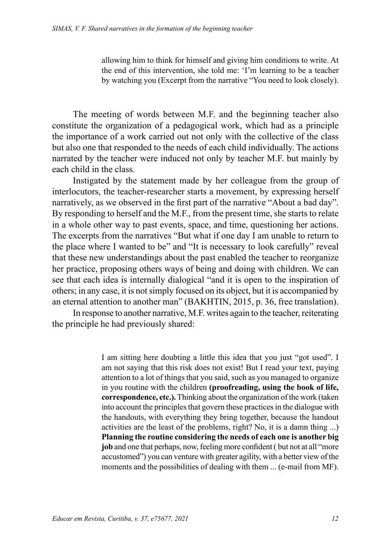allowing him to think for himself and giving him conditions to write. At the end of this intervention, she told me: 'I'm learning to be a teacher by watching you (Excerpt from the narrative "You need to look closely).

The meeting of words between M.F. and the beginning teacher also constitute the organization of a pedagogical work, which had as a principle the importance of a work carried out not only with the collective of the class but also one that responded to the needs of each child individually. The actions narrated by the teacher were induced not only by teacher M.F. but mainly by each child in the class.

Instigated by the statement made by her colleague from the group of interlocutors, the teacher-researcher starts a movement, by expressing herself narratively, as we observed in the first part of the narrative "About a bad day". By responding to herself and the M.F., from the present time, she starts to relate in a whole other way to past events, space, and time, questioning her actions. The excerpts from the narratives "But what if one day I am unable to return to the place where I wanted to be" and "It is necessary to look carefully" reveal that these new understandings about the past enabled the teacher to reorganize her practice, proposing others ways of being and doing with children. We can see that each idea is internally dialogical "and it is open to the inspiration of others; in any case, it is not simply focused on its object, but it is accompanied by an eternal attention to another man" (BAKHTIN, 2015, p. 36, free translation).

In response to another narrative, M.F. writes again to the teacher, reiterating the principle he had previously shared:

> I am sitting here doubting a little this idea that you just "got used". I am not saying that this risk does not exist! But I read your text, paying attention to a lot of things that you said, such as you managed to organize in you routine with the children **(proofreading, using the book of life, correspondence, etc.).** Thinking about the organization of the work (taken into account the principles that govern these practices in the dialogue with the handouts, with everything they bring together, because the handout activities are the least of the problems, right? No, it is a damn thing ...) **Planning the routine considering the needs of each one is another big job** and one that perhaps, now, feeling more confident ( but not at all "more accustomed") you can venture with greater agility, with a better view of the moments and the possibilities of dealing with them ... (e-mail from MF).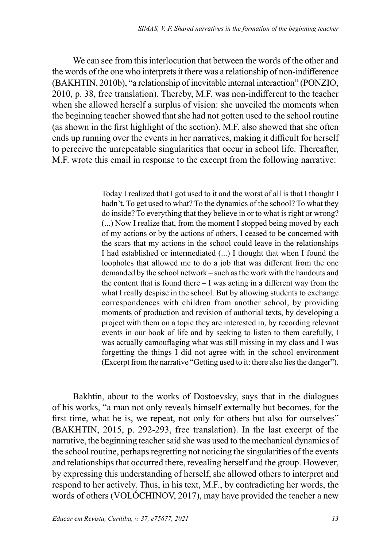We can see from this interlocution that between the words of the other and the words of the one who interprets it there was a relationship of non-indifference (BAKHTIN, 2010b), "a relationship of inevitable internal interaction" (PONZIO, 2010, p. 38, free translation). Thereby, M.F. was non-indifferent to the teacher when she allowed herself a surplus of vision: she unveiled the moments when the beginning teacher showed that she had not gotten used to the school routine (as shown in the first highlight of the section). M.F. also showed that she often ends up running over the events in her narratives, making it difficult for herself to perceive the unrepeatable singularities that occur in school life. Thereafter, M.F. wrote this email in response to the excerpt from the following narrative:

> Today I realized that I got used to it and the worst of all is that I thought I hadn't. To get used to what? To the dynamics of the school? To what they do inside? To everything that they believe in or to what is right or wrong? (...) Now I realize that, from the moment I stopped being moved by each of my actions or by the actions of others, I ceased to be concerned with the scars that my actions in the school could leave in the relationships I had established or intermediated (...) I thought that when I found the loopholes that allowed me to do a job that was different from the one demanded by the school network – such as the work with the handouts and the content that is found there  $-1$  was acting in a different way from the what I really despise in the school. But by allowing students to exchange correspondences with children from another school, by providing moments of production and revision of authorial texts, by developing a project with them on a topic they are interested in, by recording relevant events in our book of life and by seeking to listen to them carefully, I was actually camouflaging what was still missing in my class and I was forgetting the things I did not agree with in the school environment (Excerpt from the narrative "Getting used to it: there also lies the danger").

Bakhtin, about to the works of Dostoevsky, says that in the dialogues of his works, "a man not only reveals himself externally but becomes, for the first time, what he is, we repeat, not only for others but also for ourselves" (BAKHTIN, 2015, p. 292-293, free translation). In the last excerpt of the narrative, the beginning teacher said she was used to the mechanical dynamics of the school routine, perhaps regretting not noticing the singularities of the events and relationships that occurred there, revealing herself and the group. However, by expressing this understanding of herself, she allowed others to interpret and respond to her actively. Thus, in his text, M.F., by contradicting her words, the words of others (VOLÓCHINOV, 2017), may have provided the teacher a new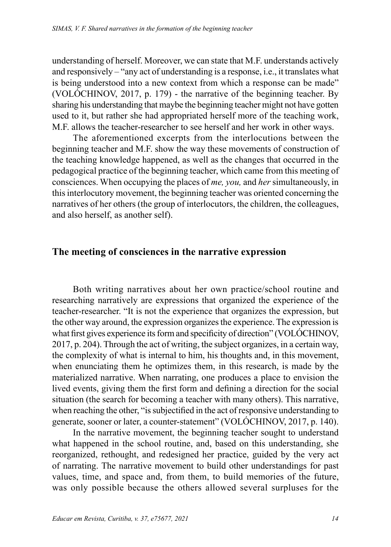understanding of herself. Moreover, we can state that M.F. understands actively and responsively – "any act of understanding is a response, i.e., it translates what is being understood into a new context from which a response can be made" (VOLÓCHINOV, 2017, p. 179) - the narrative of the beginning teacher. By sharing his understanding that maybe the beginning teacher might not have gotten used to it, but rather she had appropriated herself more of the teaching work, M.F. allows the teacher-researcher to see herself and her work in other ways.

The aforementioned excerpts from the interlocutions between the beginning teacher and M.F. show the way these movements of construction of the teaching knowledge happened, as well as the changes that occurred in the pedagogical practice of the beginning teacher, which came from this meeting of consciences. When occupying the places of *me, you,* and *her* simultaneously, in this interlocutory movement, the beginning teacher was oriented concerning the narratives of her others (the group of interlocutors, the children, the colleagues, and also herself, as another self).

#### **The meeting of consciences in the narrative expression**

Both writing narratives about her own practice/school routine and researching narratively are expressions that organized the experience of the teacher-researcher. "It is not the experience that organizes the expression, but the other way around, the expression organizes the experience. The expression is what first gives experience its form and specificity of direction" (VOLÓCHINOV, 2017, p. 204). Through the act of writing, the subject organizes, in a certain way, the complexity of what is internal to him, his thoughts and, in this movement, when enunciating them he optimizes them, in this research, is made by the materialized narrative. When narrating, one produces a place to envision the lived events, giving them the first form and defining a direction for the social situation (the search for becoming a teacher with many others). This narrative, when reaching the other, "is subjectified in the act of responsive understanding to generate, sooner or later, a counter-statement" (VOLÓCHINOV, 2017, p. 140).

In the narrative movement, the beginning teacher sought to understand what happened in the school routine, and, based on this understanding, she reorganized, rethought, and redesigned her practice, guided by the very act of narrating. The narrative movement to build other understandings for past values, time, and space and, from them, to build memories of the future, was only possible because the others allowed several surpluses for the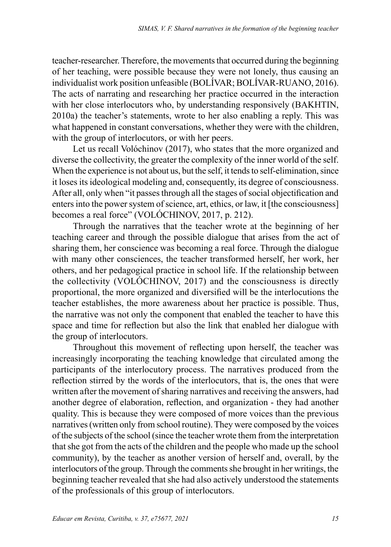teacher-researcher. Therefore, the movements that occurred during the beginning of her teaching, were possible because they were not lonely, thus causing an individualist work position unfeasible (BOLÍVAR; BOLÍVAR-RUANO, 2016). The acts of narrating and researching her practice occurred in the interaction with her close interlocutors who, by understanding responsively (BAKHTIN, 2010a) the teacher's statements, wrote to her also enabling a reply. This was what happened in constant conversations, whether they were with the children, with the group of interlocutors, or with her peers.

Let us recall Volóchinov (2017), who states that the more organized and diverse the collectivity, the greater the complexity of the inner world of the self. When the experience is not about us, but the self, it tends to self-elimination, since it loses its ideological modeling and, consequently, its degree of consciousness. After all, only when "it passes through all the stages of social objectification and enters into the power system of science, art, ethics, or law, it [the consciousness] becomes a real force" (VOLÓCHINOV, 2017, p. 212).

Through the narratives that the teacher wrote at the beginning of her teaching career and through the possible dialogue that arises from the act of sharing them, her conscience was becoming a real force. Through the dialogue with many other consciences, the teacher transformed herself, her work, her others, and her pedagogical practice in school life. If the relationship between the collectivity (VOLÓCHINOV, 2017) and the consciousness is directly proportional, the more organized and diversified will be the interlocutions the teacher establishes, the more awareness about her practice is possible. Thus, the narrative was not only the component that enabled the teacher to have this space and time for reflection but also the link that enabled her dialogue with the group of interlocutors.

Throughout this movement of reflecting upon herself, the teacher was increasingly incorporating the teaching knowledge that circulated among the participants of the interlocutory process. The narratives produced from the reflection stirred by the words of the interlocutors, that is, the ones that were written after the movement of sharing narratives and receiving the answers, had another degree of elaboration, reflection, and organization - they had another quality. This is because they were composed of more voices than the previous narratives (written only from school routine). They were composed by the voices of the subjects of the school (since the teacher wrote them from the interpretation that she got from the acts of the children and the people who made up the school community), by the teacher as another version of herself and, overall, by the interlocutors of the group. Through the comments she brought in her writings, the beginning teacher revealed that she had also actively understood the statements of the professionals of this group of interlocutors.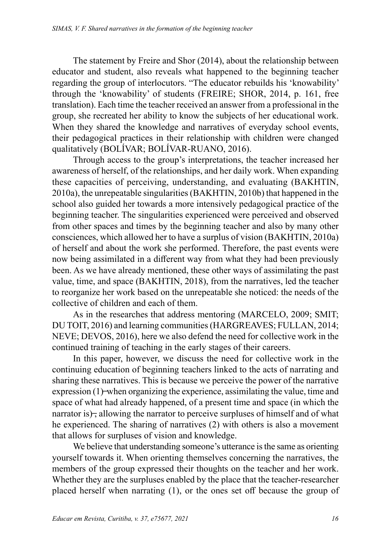The statement by Freire and Shor (2014), about the relationship between educator and student, also reveals what happened to the beginning teacher regarding the group of interlocutors. "The educator rebuilds his 'knowability' through the 'knowability' of students (FREIRE; SHOR, 2014, p. 161, free translation). Each time the teacher received an answer from a professional in the group, she recreated her ability to know the subjects of her educational work. When they shared the knowledge and narratives of everyday school events, their pedagogical practices in their relationship with children were changed qualitatively (BOLÍVAR; BOLÍVAR-RUANO, 2016).

Through access to the group's interpretations, the teacher increased her awareness of herself, of the relationships, and her daily work. When expanding these capacities of perceiving, understanding, and evaluating (BAKHTIN, 2010a), the unrepeatable singularities (BAKHTIN, 2010b) that happened in the school also guided her towards a more intensively pedagogical practice of the beginning teacher. The singularities experienced were perceived and observed from other spaces and times by the beginning teacher and also by many other consciences, which allowed her to have a surplus of vision (BAKHTIN, 2010a) of herself and about the work she performed. Therefore, the past events were now being assimilated in a different way from what they had been previously been. As we have already mentioned, these other ways of assimilating the past value, time, and space (BAKHTIN, 2018), from the narratives, led the teacher to reorganize her work based on the unrepeatable she noticed: the needs of the collective of children and each of them.

As in the researches that address mentoring (MARCELO, 2009; SMIT; DU TOIT, 2016) and learning communities (HARGREAVES; FULLAN, 2014; NEVE; DEVOS, 2016), here we also defend the need for collective work in the continued training of teaching in the early stages of their careers.

In this paper, however, we discuss the need for collective work in the continuing education of beginning teachers linked to the acts of narrating and sharing these narratives. This is because we perceive the power of the narrative expression (1)—when organizing the experience, assimilating the value, time and space of what had already happened, of a present time and space (in which the narrator is), allowing the narrator to perceive surpluses of himself and of what he experienced. The sharing of narratives (2) with others is also a movement that allows for surpluses of vision and knowledge.

We believe that understanding someone's utterance is the same as orienting yourself towards it. When orienting themselves concerning the narratives, the members of the group expressed their thoughts on the teacher and her work. Whether they are the surpluses enabled by the place that the teacher-researcher placed herself when narrating (1), or the ones set off because the group of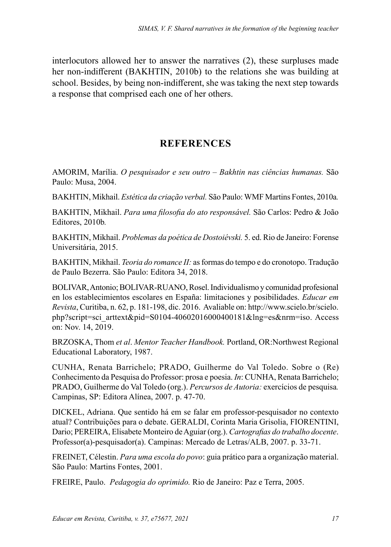interlocutors allowed her to answer the narratives (2), these surpluses made her non-indifferent (BAKHTIN, 2010b) to the relations she was building at school. Besides, by being non-indifferent, she was taking the next step towards a response that comprised each one of her others.

### **REFERENCES**

AMORIM, Marília. *O pesquisador e seu outro – Bakhtin nas ciências humanas.* São Paulo: Musa, 2004.

BAKHTIN, Mikhail. *Estética da criação verbal.* São Paulo: WMF Martins Fontes, 2010a*.*

BAKHTIN, Mikhail. *Para uma filosofia do ato responsável.* São Carlos: Pedro & João Editores, 2010b*.*

BAKHTIN, Mikhail. *Problemas da poética de Dostoiévski.* 5. ed. Rio de Janeiro: Forense Universitária, 2015.

BAKHTIN, Mikhail. *Teoria do romance II:* as formas do tempo e do cronotopo. Tradução de Paulo Bezerra. São Paulo: Editora 34, 2018.

BOLIVAR, Antonio; BOLIVAR-RUANO, Rosel. Individualismo y comunidad profesional en los establecimientos escolares en España: limitaciones y posibilidades. *Educar em Revista*, Curitiba, n. 62, p. 181-198, dic. 2016. Avaliable on: [http://www.scielo.br/scielo.](http://www.scielo.br/scielo.php?script=sci_arttext&pid=S0104-40602016000400181&lng=es&nrm=iso) [php?script=sci\\_arttext&pid=S0104-40602016000400181&lng=es&nrm=iso](http://www.scielo.br/scielo.php?script=sci_arttext&pid=S0104-40602016000400181&lng=es&nrm=iso). Access on: Nov. 14, 2019.

BRZOSKA, Thom *et al*. *Mentor Teacher Handbook.* Portland, OR:Northwest Regional Educational Laboratory, 1987.

CUNHA, Renata Barrichelo; PRADO, Guilherme do Val Toledo. Sobre o (Re) Conhecimento da Pesquisa do Professor: prosa e poesia. *In*: CUNHA, Renata Barrichelo; PRADO, Guilherme do Val Toledo (org.). *Percursos de Autoria:* exercícios de pesquisa*.*  Campinas, SP: Editora Alínea, 2007. p. 47-70.

DICKEL, Adriana. Que sentido há em se falar em professor-pesquisador no contexto atual? Contribuições para o debate. GERALDI, Corinta Maria Grisolia, FIORENTINI, Dario; PEREIRA, Elisabete Monteiro de Aguiar (org.). *Cartografias do trabalho docente*. Professor(a)-pesquisador(a). Campinas: Mercado de Letras/ALB, 2007. p. 33-71.

FREINET, Célestin. *Para uma escola do povo*: guia prático para a organização material. São Paulo: Martins Fontes, 2001.

FREIRE, Paulo. *Pedagogia do oprimido.* Rio de Janeiro: Paz e Terra, 2005.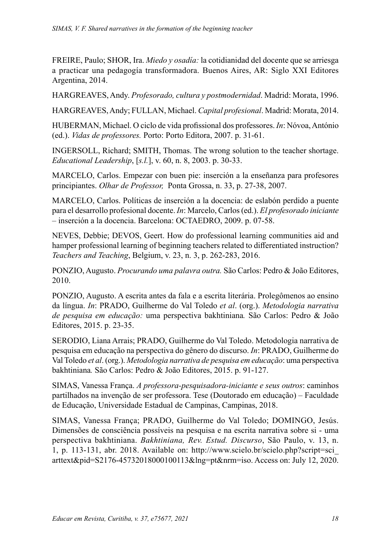FREIRE, Paulo; SHOR, Ira. *Miedo y osadía:* la cotidianidad del docente que se arriesga a practicar una pedagogía transformadora. Buenos Aires, AR: Siglo XXI Editores Argentina, 2014.

HARGREAVES, Andy. *Profesorado, cultura y postmodernidad*. Madrid: Morata, 1996.

HARGREAVES, Andy; FULLAN, Michael. *Capital profesional*. Madrid: Morata, 2014.

HUBERMAN, Michael. O ciclo de vida profissional dos professores. *In*: Nóvoa, António (ed.). *Vidas de professores.* Porto: Porto Editora, 2007. p. 31-61.

INGERSOLL, Richard; SMITH, Thomas. The wrong solution to the teacher shortage. *Educational Leadership*, [*s.l.*], v. 60, n. 8, 2003. p. 30-33.

MARCELO, Carlos. Empezar con buen pie: inserción a la enseñanza para profesores principiantes. *Olhar de Professor,* Ponta Grossa, n. 33, p. 27-38, 2007.

MARCELO, Carlos. Políticas de inserción a la docencia: de eslabón perdido a puente para el desarrollo profesional docente. *In*: Marcelo, Carlos (ed.). *El profesorado iniciante –* inserción a la docencia. Barcelona: OCTAEDRO, 2009. p. 07-58.

NEVES, Debbie; DEVOS, Geert. How do professional learning communities aid and hamper professional learning of beginning teachers related to differentiated instruction? *Teachers and Teaching*, Belgium, v. 23, n. 3, p. 262-283, 2016.

PONZIO, Augusto. *Procurando uma palavra outra.* São Carlos: Pedro & João Editores, 2010.

PONZIO, Augusto. A escrita antes da fala e a escrita literária. Prolegômenos ao ensino da língua. *In*: PRADO, Guilherme do Val Toledo *et al*. (org.). *Metodologia narrativa de pesquisa em educação:* uma perspectiva bakhtiniana*.* São Carlos: Pedro & João Editores, 2015. p. 23-35.

SERODIO, Liana Arrais; PRADO, Guilherme do Val Toledo. Metodologia narrativa de pesquisa em educação na perspectiva do gênero do discurso. *In*: PRADO, Guilherme do Val Toledo *et al*. (org.). *Metodologia narrativa de pesquisa em educação*: uma perspectiva bakhtiniana*.* São Carlos: Pedro & João Editores, 2015. p. 91-127.

SIMAS, Vanessa França. *A professora-pesquisadora-iniciante e seus outros*: caminhos partilhados na invenção de ser professora. Tese (Doutorado em educação) – Faculdade de Educação, Universidade Estadual de Campinas, Campinas, 2018.

SIMAS, Vanessa França; PRADO, Guilherme do Val Toledo; DOMINGO, Jesús. Dimensões de consciência possíveis na pesquisa e na escrita narrativa sobre si - uma perspectiva bakhtiniana. *Bakhtiniana, Rev. Estud. Discurso*, São Paulo, v. 13, n. 1, p. 113-131, abr. 2018. Available on: [http://www.scielo.br/scielo.php?script=sci\\_](http://www.scielo.br/scielo.php?script=sci_arttext&pid=S2176-45732018000100113&lng=pt&nrm=iso) [arttext&pid=S2176-45732018000100113&lng=pt&nrm=iso](http://www.scielo.br/scielo.php?script=sci_arttext&pid=S2176-45732018000100113&lng=pt&nrm=iso). Access on: July 12, 2020.